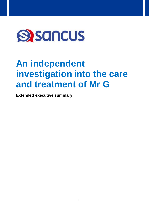

# **An independent investigation into the care and treatment of Mr G**

**Extended executive summary**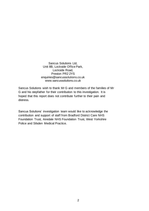Sancus Solutions Ltd, Unit 8B, Lockside Office Park, Lockside Road, Preston PR2 2YS enquiries@sancussolutions.co.uk www.sancussolutions.co.uk

Sancus Solutions wish to thank Mr G and members of the families of Mr G and his stepfather for their contribution to this investigation. It is hoped that this report does not contribute further to their pain and distress.

Sancus Solutions' investigation team would like to acknowledge the contribution and support of staff from Bradford District Care NHS Foundation Trust, Airedale NHS Foundation Trust, West Yorkshire Police and Silsden Medical Practice.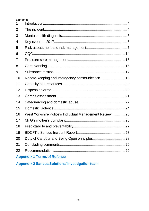### **Contents**

| $\mathbf 1$ |                                                         |    |
|-------------|---------------------------------------------------------|----|
| 2           |                                                         |    |
| 3           |                                                         |    |
| 4           |                                                         |    |
| 5           |                                                         |    |
| 6           |                                                         |    |
| 7           |                                                         |    |
| 8           |                                                         |    |
| 9           |                                                         |    |
| 10          | Record-keeping and interagency communication 18         |    |
| 11          |                                                         |    |
| 12          |                                                         |    |
| 13          |                                                         |    |
| 14          |                                                         |    |
| 15          |                                                         |    |
| 16          | West Yorkshire Police's Individual Management Review 25 |    |
| 17          |                                                         |    |
| 18          |                                                         |    |
| 19          |                                                         |    |
| 20          |                                                         |    |
| 21          |                                                         | 29 |
| 22          |                                                         |    |
|             |                                                         |    |

# **Appendix 1 Terms of Refence**

**Appendix 2 Sancus Solutions' investigation team**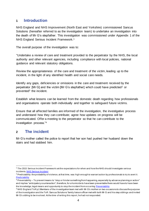### **1 Introduction**

NHS England and NHS Improvement (North East and Yorkshire) commissioned Sancus Solutions (hereafter referred to as the investigation team) to undertake an investigation into the death of Mr G's stepfather. This investigation was commissioned under Appendix 1 of the NHS England Serious Incident Framework.<sup>1</sup>

The overall purpose of the investigation was to:

"Undertake a review of care and treatment provided to the perpetrator by the NHS, the local authority and other relevant agencies, including compliance with local policies, national guidance and relevant statutory obligations.

Review the appropriateness of the care and treatment of the victim, leading up to the incident, in the light of any identified health and social care needs.

Identify any gaps, deficiencies or omissions in the care and treatment received by the perpetrator [Mr G] and the victim [Mr G's stepfather] which could have predicted<sup>2</sup> or prevented<sup>3</sup> the incident.

Establish what lessons can be learned from the domestic death regarding how professionals and organisations operate both individually and together to safeguard future victims.

Ensure that all affected families are informed of the investigation, the investigative process and understand how they can contribute; agree how updates on progress will be communicated. Offer a meeting to the perpetrator so that he can contribute to the investigation process."<sup>4</sup>

### **2 The incident**

Mr G's mother called the police to report that her son had pushed her husband down the stairs and had stabbed him.

<sup>&</sup>lt;sup>1</sup> The 2015 Serious Incident Framework set the expectations for when and how the NHS should investigate serious incident[s. NHS Serious Incident](https://www.england.nhs.uk/patientsafety/serious-incident/)

 $2$  Predictability: the probability of violence, at that time, was high enough to warrant action by professionals to try to avert it. **[Predictability](http://dictionary.reference.com/browse/predictability)** 

 $3$  Preventability – To prevent means to "stop or hinder something from happening, especially by advance planning or action" and implies "anticipatory counteraction"; therefore, for a homicide to have been preventable there would have to have been the knowledge, legal means and opportunity to stop the incident from occurring [Preventability](http://www.thefreedictionary.com/preventability)

<sup>&</sup>lt;sup>4</sup> NHS England ToR p1 Members of the investigation team met with Mr G's mother on two occasions to discuss the purpose of the investigation and the ToR. Sancus Solutions' family liaison officer met with both Mr G and his step siblings and invited Mr G's sibling to be involved. At the time of writing this report, he had not responded.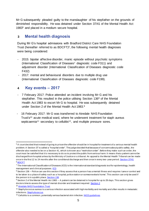Mr G subsequently pleaded guilty to the manslaughter of his stepfather on the grounds of diminished responsibility. He was detained under Section 37/41 of the Mental Health Act 1983<sup>5</sup> and placed in a medium secure hospital.

# **3 Mental health diagnosis**

During Mr G's hospital admissions with Bradford District Care NHS Foundation Trust (hereafter referred to as BDCFT) <sup>6</sup>, the following mental health diagnoses were being considered:

- 2015: bipolar affective disorder, manic episode without psychotic symptoms (International Classification of Diseases<sup>7</sup> diagnostic code F311) and adjustment disorder (International Classification of Diseases diagnostic code F432)
- 2017: mental and behavioural disorders due to multiple drug use (International Classification of Diseases diagnostic code F199).

# **4 Key events – 2017**

- 7 February 2017: Police attended an incident involving Mr G and his stepfather. This resulted in the police utilising Section 136<sup>8</sup> of the Mental Health Act 1983 to escort Mr G to hospital. He was subsequently detained under Section 2 of the Mental Health Act 1983.<sup>9</sup>
- 16 February 2017: Mr G was transferred to Airedale NHS Foundation Trust's<sup>10</sup> acute medical ward, where he underwent treatment for staph aureus septicaemia<sup>11</sup> secondary to cellulitis<sup>12</sup>, and multiple pressure sores.

<sup>&</sup>lt;sup>5</sup> A court decided that instead of going to prison the offender should be in hospital for treatment of a serious mental health problem. A Section 37 is called a "hospital order". The judge decided that because of concerns about public safety , the offender also needed to be on a Section 41, which is known as a "restriction order". Before they make such an order, the court must be satisfied that it is necessary to do so to protect the public from serious harm. It means that a patient cannot be discharged from hospital unless by the Ministry of Justice or a tribunal. An appeal to the Mental Health Tribunal can be made once in the first 12 to 24 months after the conditional discharge and then once in every two-year period. [Section 37/41](https://www.legislation.gov.uk/ukpga/1983/20/section/41) <sup>6</sup> [BDCFT](https://www.bdct.nhs.uk/)

 $7$  The International Classification of Diseases (ICD) is the international standard diagnostic tool for epidemiology, health management and clinical purposes. **[ICD](https://www.who.int/classifications/icd/en/)** 

<sup>&</sup>lt;sup>8</sup> Section 136 – Police can use this section if they assess that a person has a mental illness and requires 'care or control and to be taken to a place of safety such as a hospital, police station or someone else's home'. This section can only be used if the person is in a public place[. Section 136](https://www.rethink.org/advice-and-information/rights-restrictions/police-courts-and-prison/section-136/)

 $9$  Section 2 of the Mental Health Act 1983 – A patient can be detained in hospital for up to 28 days. This section gives doctors time to assess the type of mental disorder and treatment required[. Section 2](http://www.legislation.gov.uk/ukpga/1983/20/section/2)

<sup>&</sup>lt;sup>10</sup> [Airedale NHS Foundation Trust](http://www.airedale-trust.nhs.uk/)

<sup>&</sup>lt;sup>11</sup> Staphylococcus aureus is a serious infection associated with high morbidity and mortality and often results in metastatic infections[. Staphylococcus](https://www.nhs.uk/conditions/staphylococcal-infections/)

<sup>&</sup>lt;sup>12</sup> Cellulitis is a common, potentially serious bacterial skin infection. NICE quidelines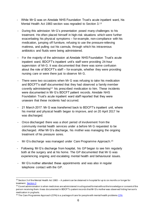- While Mr G was on Airedale NHS Foundation Trust's acute inpatient ward, his Mental Health Act 1983 section was regraded to Section 3.<sup>13</sup>
- During this admission Mr G's presentation posed many challenges to his treatment. He often placed himself in high-risk situations which were further exacerbating his physical symptoms – for example, non-compliance with his medication, jumping off furniture, refusing to use the pressure-relieving mattress, and pulling out his cannula, through which his intravenous antibiotics and fluids were being administered.
- For the majority of the admission at Airedale NHS Foundation Trust's acute inpatient ward, BDCFT's inpatient unit's staff were providing 24-hour supervision of Mr G. It was documented that there was some confusion about the role of BDCFT's staff – for example, whether they were providing nursing care or were there just to observe Mr G.
- There were two occasions when Mr G was refusing to take his medication and BDCFT's staff documented that they had observed a family member covertly administering<sup>14</sup> his prescribed medication to him. These incidents were documented in Mr G's BDCFT patient records. Airedale NHS Foundation Trust's acute inpatient ward staff reported that they were unaware that these incidents had occurred.
- 21 March 2017: Mr G was transferred back to BDCFT's inpatient unit, where his mental and physical health began to improve, and on 20 April 2017 he was discharged.
- Once discharged there was a short period of involvement from the community mental health services under a before Mr G requested to be discharged. After Mr G's discharge, his mother was managing the ongoing treatment of his pressure sores.
- Mr G's discharge was managed under Care Programme Approach.<sup>15</sup>
- Following Mr G's discharge from hospital, his GP began to see him regularly both at the surgery and at his home. The GP documented that Mr G was experiencing ongoing and escalating mental health and behavioural issues.
- Mr G's mother attended these appointments and was also in regular telephone contact with the GP.

 $13$  Section 3 of the Mental Health Act 1983 – A patient can be detained in hospital for up to six months or longer for treatment. [Section 3](http://www.legislation.gov.uk/ukpga/1983/20/section/3)

<sup>&</sup>lt;sup>14</sup> Covert administration is when medicines are administered in a disguised format without the knowledge or consent of the person receiving them. It was documented in BDCFT's patient records that Mr G's mother was observed hiding her son's medication in yoghurts.

<sup>&</sup>lt;sup>15</sup> The Care Programme Approach (CPA) is a package of care for people with mental health problem[s CPA](https://www.nhs.uk/conditions/social-care-and-support-guide/help-from-social-services-and-charities/care-for-people-with-mental-health-problems-care-programme-approach/)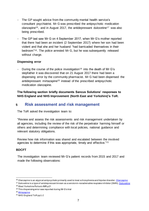- The GP sought advice from the community mental health service's consultant psychiatrist. Mr G was prescribed the antipsychotic medication olanzapine16, and in August 2017, the antidepressant duloxetine<sup>17</sup> was also being prescribed.
- The GP last saw Mr G on 4 September 2017, when Mr G's mother reported that there had been an incident (2 September 2017) where her son had been violent and that she and her husband "had barricaded themselves in their bedroom"18. The police arrested Mr G, but he was subsequently released without charge.

#### **Dispensing error**

During the course of the police investigation<sup>19</sup> into the death of Mr G's stepfather it was discovered that on 21 August 2017 there had been a dispensing error by the community pharmacist. Mr G had been dispensed the antidepressant mirtazapine<sup>20</sup> instead of the prescribed antipsychotic medication olanzapine.

**The following section briefly documents Sancus Solutions' responses to NHS England and NHS Improvement (North East and Yorkshire)'s ToR.**

### **5 Risk assessment and risk management**

The ToR asked the investigation team to:

"Review and assess the risk assessments and risk management undertaken by all agencies, including the review of the risk of the perpetrator harming himself or others and determining compliance with local policies, national guidance and relevant statutory obligations.

Review how risk information was shared and escalated between the involved agencies to determine if this was appropriate, timely and effective."<sup>21</sup>

#### **BDCFT**

The investigation team reviewed Mr G's patient records from 2015 and 2017 and made the following observations:

<sup>&</sup>lt;sup>16</sup> [Olanzapine](https://bnf.nice.org.uk/drug/olanzapine.html) is an atypical antipsychotic primarily used to treat schizophrenia and bipolar disorder. **Olanzapine** 

<sup>&</sup>lt;sup>17</sup> Duloxetine is a type of antidepressant known as a serotonin-noradrenaline reuptake inhibitor (SNRI)[. Duloxetine](https://bnf.nice.org.uk/drug/duloxetine.html)

<sup>18</sup> West Yorkshire Police's IMR p21

<sup>&</sup>lt;sup>19</sup> This dispensing error was reported during Mr G's trial

<sup>20</sup> [Mirtazapine](https://bnf.nice.org.uk/drug/mirtazapine.html)

<sup>21</sup> NHS England ToR pp1-2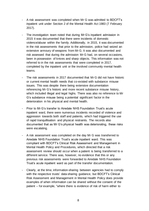- A risk assessment was completed when Mr G was admitted to BDCFT's inpatient unit under Section 2 of the Mental Health Act 1983 (7 February 2017).
- The investigation team noted that during Mr G's inpatient admission in 2015 it was documented that there were incidents of domestic violence/abuse within the family. Additionally, in 2015, it was documented in the risk assessments that prior to the admission, police had seized an extensive armoury of weapons from Mr G. It was also documented and risk assessed that during the admission Mr G had, on several occasions, been in possession of knives and sharp objects. This information was not referred to in the risk assessments that were completed in 2017, completed by the inpatient unit or the involved community mental health teams.
- The risk assessments in 2017 documented that Mr G did not have historic or current mental health needs that co-existed with substance misuse issues. This was despite there being extensive documentation referencing Mr G's historic and more recent substance misuse history, which included illegal and legal highs. There was also no reference to Mr G's substance misuse being a potential significant factor in the deterioration in his physical and mental health.
- Prior to Mr G's transfer to Airedale NHS Foundation Trust's acute inpatient ward, there were numerous incidents recorded of violence and aggression towards both staff and patients, which had triggered the use of rapid tranquillisation and physical restraints. The records also documented that as Mr G's physical health was deteriorating, these risks were escalating.
- A risk assessment was completed on the day Mr G was transferred to Airedale NHS Foundation Trust's acute inpatient ward. This was compliant with BDCFT's Clinical Risk Assessment and Management in Mental Health Policy and Procedures, which directed that a risk assessment review should occur when a patient is being transferred to a different service. There was, however, no evidence that this or any previous risk assessments were forwarded to Airedale NHS Foundation Trust's acute inpatient ward as part of the transfer documentation.
- Clearly, at the time, information-sharing between agencies had to comply with the respective trusts' data-sharing guidance, but BDCFT's Clinical Risk Assessment and Management in Mental Health Policy does provide examples of when information can be shared without the consent of the patient – for example, "where there is evidence of risk of harm either to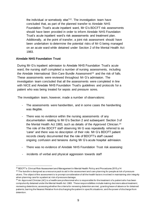the individual or somebody else"22. The investigation team have concluded that, as part of the planned transfer to Airedale NHS Foundation Trust's acute inpatient ward, Mr G's BDCFT risk assessments should have been provided in order to inform Airedale NHS Foundation Trust's acute inpatient ward's risk assessments and treatment plan. Additionally, at the point of transfer, a joint risk assessment should have been undertaken to determine the potential risks of Mr G being managed on an acute ward while detained under Section 2 of the Mental Health Act 1983.

#### **Airedale NHS Foundation Trust**

During Mr G's inpatient admission to Airedale NHS Foundation Trust's acute ward, the nursing staff completed a number of nursing assessments, including the Airedale International Skin Care Bundle Assessment<sup>23</sup> and the risk of falls. These assessments were reviewed throughout Mr G's admission. The investigation team concluded that all the assessments were completed in line with NICE and Airedale NHS Foundation Trust's guidelines and protocols for a patient who was being treated for sepsis and pressure sores.

The investigation team, however, made a number of observations:

- The assessments were handwritten, and in some cases the handwriting was illegible.
- There was no evidence within the nursing assessments of any documentation relating to Mr G's Section 2 and subsequent Section 3 of the Mental Health Act 1983, such as details of the Approved Clinician.<sup>24</sup> The role of the BDCFT staff observing Mr G was repeatedly referred to as 'carer' and there was no description of their role. Mr G's BDCFT patient records clearly documented that the role of BDCFT's staff caused ongoing confusion and tensions during Mr G's acute hospital admission.
- There was no evidence of Airedale NHS Foundation Trust risk assessing:
- incidents of verbal and physical aggression towards staff

<sup>&</sup>lt;sup>22</sup> BDCFT's Clinical Risk Assessment and Management in Mental Health Policy and Procedures 2015 p14

<sup>&</sup>lt;sup>23</sup> The bundle is designed as a resource pack to aid in the assessment and care planning for people at risk of pressure ulcers. The object of the assessment is to prompt consideration of all the health factors involved in maintaining skin integrity when planning care for a patient at risk of pressure damage.

 $24$  An Approved Clinician (AC) is a healthcare professional who is responsible for the treatment of a patient who has been compulsorily detained under the Mental Health Act 1983. These responsibilities include making decisions about treatment; reviewing detentions; assessing whether the criteria for renewing detention are met; granting leave of absence for detained patients; barring the Nearest Relative from discharging the patient in specific situations ; and the power of discharge from detention.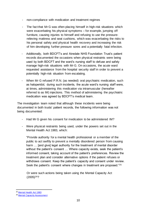- non-compliance with medication and treatment regimes
- The fact that Mr G was often placing himself in high-risk situations which were exacerbating his physical symptoms – for example, jumping off furniture, causing injuries to himself and refusing to use the pressurerelieving mattress and seat cushions, which was exacerbating the risks to his personal safety and physical health recovery and increasing the risk of him developing further pressure sores and a potentially fatal infection.
- Additionally, both BDCFT's and Airedale NHS Foundation Trust's patient records documented the occasions when physical restraints were being used by both BDCFT and the ward's nursing staff to defuse and safely manage high-risk situations with Mr G. On occasions, the acute ward requested assistance from the hospital security staff in order to prevent a potentially high-risk situation from escalating.
- When Mr G refused P.R.N. (as needed) oral psychiatric medication, such as haloperidol, during such incidents, the acute ward's nursing staff were, at times, administering this medication via intramuscular (hereafter referred to as IM) injections. This method of administering the psychiatric medication was agreed by BDCFT's medical team.

The investigation team noted that although these incidents were being documented in both trusts' patient records, the following information was not being documented:

- Had Mr G given his consent for medication to be administered IM?
- Were physical restraints being used, under the powers set out in the Mental Health Act 1983, which:

"Provide authority for a mental health professional or a member of the public to act swiftly to prevent a mentally disordered person from causing harm … [and give] legal authority for the treatment of mental disorder without the patient's consent … Where capacity exists, seek the patient's informed consent, taking account of the patient's preferences. Review the treatment plan and consider alternative options if the patient refuses or withdraws consent. Keep the patient's capacity and consent under review. Seek the patient's consent where changes in treatment are proposed." 25

Or were such actions being taken using the Mental Capacity Act (2005)26?

<sup>&</sup>lt;sup>25</sup> [Mental Health Act 1983](http://www.legislation.gov.uk/ukpga/1983/20/pdfs/ukpga_19830020_en.pdf)

<sup>26</sup> [Mental Capacity Assessment](https://www.nhs.uk/conditions/social-care-and-support-guide/making-decisions-for-someone-else/mental-capacity-act/)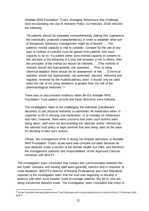Airedale NHS Foundation Trust's Managing Behaviours that Challenge (and incorporating the use of restraint) Policy (12 February 2018) directed the following:

"All patients should be assessed comprehensively (taking into cognisance the individual's protected characteristic(s)) in order to establish what sort of therapeutic behaviour management might be of benefit. … The patient's mental capacity is vital to consider. Consent for the use of any type or method of restraint must be gained from patients who have capacity to do so. If a patient either lacks mental capacity to consent to this decision or [is] behaving in a way that presents a risk to others, then the principles of the mental act should be followed. … [The method of restraint should be] Appropriately risk assessed. ... Prior to using chemical sedation there should be an assessment of risk. … [Chemical sedation should be] Appropriately risk assessed, planned, delivered and regularly reviewed by the multidisciplinary team. It should only be used when the risk of not using sedations is greater than the risk of the pharmacological treatment."<sup>27</sup>

There was no documented evidence within Mr G's Airedale NHS Foundation Trust patient records that these directives were followed.

The investigation team is not challenging the individual practitioners' decisions to use physical restraints or administer IM medication either in response to Mr G refusing oral medication, or to manage his behaviours and risks. However, there were concerns that when such actions were being taken, staff were not documenting the rationale and/or referencing the relevant trust policy or legal premise that was being used as the basis for deciding to take such actions.

Clearly, the management of Mr G during his hospital admission to Airedale NHS Foundation Trust's acute ward was complex not least because he was detained under a section of the Mental Health Act 1983, and therefore the management authority and responsibilities of the Approved Clinician remained with BDCFT.

The investigation team concluded that contact and communication between the two trusts' clinicians and nursing staff were generally reactive and in response to crisis situations. BDCFT's Director of Nursing Professional and Care Standards reported to the investigation team that the trust was beginning to develop a protocol with other local hospital trusts to manage patients, like Mr G, who are being transferred between trusts. The investigation team concluded that many of

 $27$  Acute Hospital's Managing Behaviours That Challenge (and incorporating the use of restraint) Policy 12 February 2018 pp8-9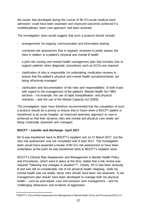the issues that developed during the course of Mr G's acute medical ward admission could have been assessed and improved outcomes achieved if a multidisciplinary team care approach had been actioned.

The investigation team would suggest that such a protocol should include:

- arrangements for ongoing communication and information-sharing
- combined risk assessment that is regularly reviewed to jointly assess the risks in relation to a patient's physical and mental ill health
- a joint risk nursing and mental health management plan that includes how to support patients when diagnostic procedures such as ECGs are required
- clarification of who is responsible for undertaking medication reviews to ensure that the patient's physical and mental health symptoms/needs are being effectively managed
- clarification and documentation of the roles and responsibilities of both trusts with regard to the management of the patient's Mental Health Act 1983 sections – for example, the use of rapid tranquillisation and physical restraints – and the use of the Mental Capacity Act (2005).

The investigation team have therefore recommended that the completion of such a protocol should be a priority to ensure that in future when a BDCFT patient is transferred to an acute hospital, an improved seamless approach to care is achieved so that their dynamic risks and mental and physical care needs are being continually assessed and managed.

### **BDCFT – transfer and discharge- April 2017**

Mr G was transferred back to BDCFT's inpatient unit on 21 March 2017, but the next risk assessment was not completed until 8 April 2017. The investigation team would have expected a review of Mr G's risk assessment to have been undertaken at the point he was transferred back to BDCFT's inpatient ward.

BDCFT's Clinical Risk Assessment and Management in Mental Health Policy and Procedures, which were in place at the time, stated that a risk review was required "following any changes in situation"28. Clearly, Mr G had been seriously ill and was still at considerable risk of his physical health relapsing, while his mental health was not stable; these risks should have been risk assessed. A risk management plan should have been developed to manage both his physical health – such as post-sepsis care and pressure sore management – and his challenging behaviours and incidents of aggression.

 $^{28}$  BDCFT's Clinical Risk Assessment and Management in Mental Health Policy and Procedures 2015 p13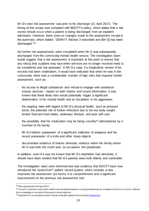Mr G's next risk assessment was prior to his discharge (21 April 2017). The timing of this review was compliant with BDCFT's policy, which states that a risk review should occur when a patient is being discharged from an inpatient admission. However, there were no changes made to the assessment except in the summary, which stated: "20/04/17 Section 3 rescinded and [Mr G] has been discharged."<sup>29</sup>

No further risk assessments were completed when Mr G was subsequently discharged from the community mental health service. The investigation team would suggest that a risk assessment is important at this point to ensure that any risk(s) that a patient may face when services are no longer involved need to be considered and risk assessed. In Mr G's case, if a longitudinal review of his records had been undertaken, it would have indicated that when he was in the community, there was a considerable number of high risks that required further assessment, such as:

- his access to illegal substances and refusal to engage with substance misuse services – based on both historic and recent information, it was known that these likely risks would potentially trigger a significant deterioration in his mental health and an escalation in his aggression
- the ongoing risks with regard to Mr G's physical health, such as pressure sores, the potential risk of further infections due to his low body weight, limited fluid and food intake, sedentary lifestyle, and poor self-care
- the possibility that his medication may be being covertly<sup>30</sup> administered by a member of his family
- Mr G's historic possession of a significant collection of weapons and his recent possession of a knife and other sharp objects
- documented evidence of historic domestic violence within the family where Mr G was both the victim and, on occasions, the perpetrator.

In addition, even if it was not known that Mr G's stepfather had dementia, it should have been evident that Mr G's parents were both elderly and vulnerable.

The investigation team were informed and saw evidence that BDCFT have now introduced the SystmOne<sup>31</sup> patient record system, which includes a new improved risk assessment pro forma. It is comprehensive and a significant improvement on the previous risk assessment tool.

<sup>29</sup> Risk assessment 20 April 2017

 $^{30}$  'Covert' is the term used when medicines are administered in a disguised format, for example in food or in a drink, without the knowledge or consent of the person receiving them

<sup>&</sup>lt;sup>31</sup> SystmOne is a centrally hosted clinical computer patient record system **SystmOne**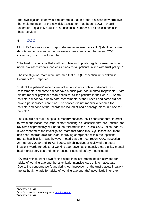The investigation team would recommend that in order to assess how effective the implementation of the new risk assessment has been, BDCFT should undertake a qualitative audit of a substantial number of risk assessments in these services.

### **6 CQC**

BDCFT's Serious incident Report (hereafter referred to as SIR) identified some deficits and omissions in the risk assessments and cited the recent CQC inspection, which concluded that:

"The trust must ensure that staff complete and update regular assessments of need, risk assessments and crisis plans for all patients in line with trust policy."<sup>32</sup>

The investigation team were informed that a CQC inspection undertaken in February 2018 reported:

"Half of the patients' records we looked at did not contain up-to-date risk assessments and some did not have a crisis plan documented for patients. Staff did not monitor physical health needs for all the patients in their care … Some patients did not have up-to-date assessments of their needs and some did not have a personalised care plan. The service did not monitor outcomes for patients and none of the records we looked at had discharge plans in place for patients."<sup>33</sup>

The SIR did not make a specific recommendation, as it concluded that "in order to avoid duplication the issue of staff ensuring risk assessments are updated and reviewed appropriately will be taken forward via the Trust's CQC Action Plan"34. It was reported to the investigation team that since this CQC inspection, there has been considerable focus on improving compliance within the inpatient mental health unit. It was however noted that the most recent CQC inspection – 28 February 2019 and 10 April 2019, which involved a review of the acute inpatient wards for adults of working age, psychiatric intensive care units, mental health crisis services and health-based places of safety – concluded:

"Overall ratings went down for the acute inpatient mental health services for adults of working age and the psychiatric intensive care unit to inadequate … Due to the concerns we found during our inspection of the trust's acute inpatient mental health wards for adults of working age and [the] psychiatric intensive

<sup>&</sup>lt;sup>32</sup> BDCFT's SIR p19

<sup>&</sup>lt;sup>33</sup> CQC's inspection 12 February 2018 [CQC inspection](https://www.cqc.org.uk/provider/TAD/inspection-summary#mhworkingage)

<sup>&</sup>lt;sup>34</sup> BDCFT's SIR p19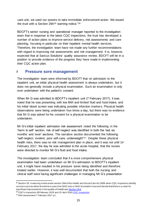care unit, we used our powers to take immediate enforcement action. We issued the trust with a Section 29A<sup>35</sup> warning notice."<sup>36</sup>

BDCFT's senior nursing and operational manager reported to the investigation team that in response to the latest CQC inspections, the trust has developed a number of action plans to improve service delivery, risk assessments and care planning, focusing in particular on their inpatient mental health services. Therefore, the investigation team have not made any further recommendations with regard to improving risk assessments and risk management. It is, however, expected that at Sancus Solutions' quality assurance review, BDCFT will be in a position to provide evidence of the progress they have made in implementing their CQC action plan.

### **7 Pressure sore management**

The investigation team were informed by BDCFT that on admission to the inpatient unit, an initial physical health assessment is always undertaken, but it does not generally include a physical examination. Such an examination is only ever undertaken with the patient's consent.

When Mr G was admitted to BDCFT's inpatient unit (7 February 2017), it was noted that he was presenting with low BMI and limited fluid and food intake, and his initial blood screen was indicating possible infection markers. Physical health observations were being undertaken four times a day, but there was no evidence that Mr G was asked for his consent for a physical examination to be undertaken.

Mr G's initial inpatient admission risk assessment noted the following: in the 'harm to self' section, risk of self-neglect was identified in both the 'last six months' and 'ever' sections. The narrative section documented the following: "self-neglect, evident, poor self-care, underweight"37. Despite these physical health risks, there was no risk management plan in place, and it was not until 14 February 2017, the day he was admitted to the acute hospital, that the nurses were directed to monitor Mr G's fluid and food intake.

The investigation team concluded that if a more comprehensive physical examination had been undertaken on Mr G's admission to BDCFT's inpatient unit, it might have resulted in his pressure sores being identified and therefore treated earlier. However, it was well documented that both the nursing and clinical staff were facing significant challenges in managing Mr G's presentation

<sup>&</sup>lt;sup>35</sup> Section 29: A warning notice under section 29A of the Health and Social Care Act 2008 when CQC inspectors identify concerns across either the whole or part of an NHS trust or NHS foundation trust and decide that there is a need for significant improvements in the quality of healthcar[e Section 29 A](https://www.cqc.org.uk/sites/default/files/20170210-guidance-on-section-29a-warning-notices-final.pdf)

<sup>&</sup>lt;sup>36</sup> CQC's inspection 28 February 2019 and 10 April 201[9 CQC inspection](https://www.cqc.org.uk/provider/TAD)

<sup>&</sup>lt;sup>37</sup> Risk assessment 7 February 2017 p1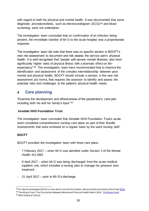with regard to both his physical and mental health. It was documented that some diagnostic procedures/tests, such as electrocardiogram (ECG)<sup>38</sup> and blood screening, were not undertaken.

The investigation team concluded that on confirmation of an infection being present, the immediate transfer of Mr G to the acute hospital was a proportionate response.

The investigation team did note that there was no specific section in BDCFT's new risk assessment to document and risk assess the service user's physical health. It is well recognised that "people with severe mental illnesses also have significantly higher rates of physical illness with a dramatic effect on lifeexpectancy"39. The investigation team have recommended that to improve the identification and assessment of the complex interrelationship between poor mental and physical health, BDCFT should include a section, in the new risk assessment pro forma, that requires the assessor to identify and assess the potential risks and challenges to the patient's physical health needs.

### **8 Care planning**

"Examine the development and effectiveness of the perpetrator's care plan including both his and his family's input."<sup>40</sup>

### **Airedale NHS Foundation Trust**

The investigation team concluded that Airedale NHS Foundation Trust's acute ward completed comprehensive nursing care plans as part of their Bundle Assessments that were reviewed on a regular basis by the ward nursing staff.

### **BDCFT**

BDCFT provided the investigation team with three care plans:

- 7 February 2017 when Mr G was admitted under Section 2 of the Mental Health Act 1983
- 8 April 2017 when Mr G was being discharged from the acute medical inpatient unit, which included a nursing plan to manage his pressure sore treatment
- 21 April 2017 prior to Mr G's discharge.

 $38$  An electrocardiogram (ECG) is a test which records the rhythm, rate and electrical activity of the heart  $ECG$ <sup>39</sup> The King's Fund. The Connection between Mental and Physical Health March 2016. [The Kings Fund](https://www.kingsfund.org.uk/projects/time-think-differently/trends-disease-and-disability-mental-physical-health)

<sup>40</sup> NHS England ToR p2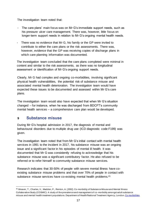The investigation team noted that:

- The care plans' main focus was on Mr G's immediate support needs, such as his pressure ulcer care management. There was, however, little focus on longer-term support needs in relation to Mr G's ongoing mental health needs.
- There was no evidence that Mr G, his family or the GP were invited to contribute to either the care plans or the risk assessments. There was, however, evidence that the GP was receiving copies of discharge plans in which care planning information was documented.

The investigation team concluded that the care plans completed were minimal in content and similar to the risk assessments, as there was no longitudinal assessment or identification of Mr G's ongoing support needs.

Clearly, Mr G had complex and ongoing co-morbidities, involving significant physical health vulnerabilities, the potential risk of substance misuse and associated mental health deterioration. The investigation team would have expected these issues to be documented and assessed within Mr G's care plans.

The investigation team would also have expected that when Mr G's situation changed – for instance, when he was discharged from BDCFT's community mental health services – a comprehensive care plan would be developed.

### **9 Substance misuse**

During Mr G's hospital admission in 2017, the diagnosis of mental and behavioural disorders due to multiple drug use (ICD diagnostic code F199) was given.

The investigation team noted that from Mr G's initial contact with mental health services in 1991 to the incident in 2017, his substance misuse was an ongoing issue and a significant factor in his episodes of mental ill health. It was documented that Mr G was consistently refusing to acknowledge that his substance misuse was a significant contributory factor. He also refused to be referred or to refer himself to community substance misuse services.

Research indicates that 30-50% of people with severe mental illness have coexisting substance misuse problems and that over 70% of people in contact with substance misuse services have co-existing mental health problems.<sup>41</sup>

<sup>41</sup> Weaver, T., Charles, V., Madden, P., Renton, A. (2002) Co-morbidity of Substance Misuse and Mental Illness Collaborative Study (COSMIC): A study of the prevalence and management of co -morbidity amongst adult substance misuse and mental health treatment populations. Department of Health/National Treatment Agency, London. [Co morbidities](https://www.ncbi.nlm.nih.gov/pubmed/14519608)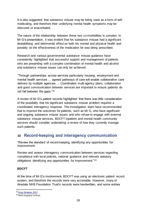It is also suggested that substance misuse may be being used as a form of selfmedicating, and therefore their underlying mental health symptoms may be obscured or exacerbated.

The nature of the relationship between these two co-morbidities is complex. In Mr G's presentation, it was evident that his substance misuse had a significant destabilising and detrimental effect on both his mental and physical health and possibly on the effectiveness of the medication he was being prescribed.

Research and various governmental substance misuse guidance have consistently highlighted that successful support and management of patients who are presenting with a complex combination of mental health and alcohol and substance misuse issues can only be achieved:

"Through partnerships across services particularly housing, employment and mental health services … agreed pathways of care will enable collaborative care delivery by multiple agencies … Coordinated multi-agency plans, collaboration and good communication between services are important to ensure patients do not fall between the gaps."<sup>42</sup>

A review of Mr G's patient records highlighted that there was little consideration of the possibility that his significant substance misuse problem required a coordinated interagency response. The investigation team have recommended that to improve the outcomes for patients, such as Mr G, who have significant and ongoing substance misuse issues and who refuse to engage with external substance misuse services, BDCFT inpatient and mental health community services should consider undertaking a review of how they currently manage such patients.

### **10 Record-keeping and interagency communication**

"Review the standard of record keeping, identifying any opportunities for improvement.

Review and assess interagency communication between services regarding compliance with local policies, national guidance and relevant statutory obligations identifying any opportunities for improvement." 43

### **BDCFT**

At the time of Mr G's involvement, BDCFT was using an electronic patient record system, and therefore the records were very accessible. However, many of Airedale NHS Foundation Trust's records were handwritten, and some entries

<sup>&</sup>lt;sup>42</sup> [Drug Strategy 2017](https://www.gov.uk/government/publications/drug-strategy-2017)

<sup>43</sup> NHS England ToRp1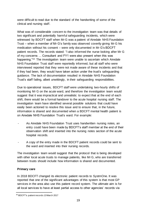were difficult to read due to the standard of the handwriting of some of the clinical and nursing staff.

What was of considerable concern to the investigation team was that details of two significant and potentially harmful safeguarding incidents, which were witnessed by BDCFT staff when Mr G was a patient of Airedale NHS Foundation Trust – when a member of Mr G's family was observed covertly giving Mr G his medication without his consent – were only documented in Mr G's BDCFT patient records. The records stated: "I also informed the nurse looking after Mr G of my concerns … Consultant and FY1 were also present when this was happening."<sup>44</sup> The investigation team were unable to ascertain which Airedale NHS Foundation Trust staff were reportedly informed, but all staff who were interviewed reported that they were not made aware of these incidents and that if they had been, they would have taken action under the trust's safeguarding guidance. The lack of documentation resulted in Airedale NHS Foundation Trust's staff failing, albeit unwittingly, in their safeguarding responsibilities.

Due to operational issues, BDCFT staff were undertaking two-hourly shifts of monitoring Mr G on the acute ward, and therefore the investigation team would suggest that it was impractical and unrealistic to expect that at the end of each shift, there would be a formal handover to the acute hospital nursing staff. The investigation team have identified several possible solutions that could have easily been actioned to resolve this issue and to ensure that, in the future, information is shared and documented when a BDCFT mental health patient is on Airedale NHS Foundation Trust's ward. For example:

- As Airedale NHS Foundation Trust uses handwritten nursing notes, an entry could have been made by BDCFT's staff member at the end of their observation shift and inserted into the nursing notes section of the acute hospital records.
- A copy of the entry made in the BDCFT patient records could be sent to the ward and inserted into their nursing records.

The investigation team would suggest that the protocol that is being developed with other local acute trusts to manage patients, like Mr G, who are transferred between trusts should include how information is shared and documented.

### **Primary care**

In 2018 BDCFT changed its electronic patient records to SystmOne. It was reported that one of the significant advantages of this system is that most GP services in the area also use this patient record system. The ultimate aim is for all local services to have at least partial access to other agencies' records via

<sup>44</sup> BDCFT's patient records 13 March 2017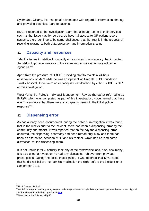SystmOne. Clearly, this has great advantages with regard to information-sharing and providing seamless care to patients.

BDCFT reported to the investigation team that although some of their services, such as the tissue viability service, do have full access to GP patient record systems, there continue to be some challenges that the trust is in the process of resolving relating to both data protection and information-sharing.

### **11 Capacity and resources**

"Identify issues in relation to capacity or resources in any agency that impacted the ability to provide services to the victim and to work effectively with other agencies."<sup>45</sup>

Apart from the pressure of BDCFT providing staff to maintain 24-hour observations of Mr G while he was an inpatient at Airedale NHS Foundation Trust's hospital, there were no capacity issues identified by either BDCFT's SIR or this investigation.

West Yorkshire Police's Individual Management Review (hereafter referred to as IMR)46, which was completed as part of this investigation, documented that there was "no evidence that there were any capacity issues in the initial police response"47.

### **12 Dispensing error**

As has already been documented, during the police's investigation it was found that in the weeks prior to the incident, there had been a dispensing error by the community pharmacist. It was reported that on the day the dispensing error occurred, the dispensing pharmacy had been remarkably busy and there had been an altercation between Mr G and his mother, which had caused some distraction for the dispensing team.

It is not known if Mr G actually took any of the mirtazapine and, if so, how many. It is also uncertain whether he had any olanzapine left over from previous prescriptions. During the police investigation, it was reported that Mr G stated that he did not believe he took his medication the night before the incident on 8 September 2017.

<sup>45</sup> NHS England ToR p1

<sup>&</sup>lt;sup>46</sup> An IMR is a report detailing, analysing and reflecting on the actions, decisions, missed opportunities and areas of good practice within the individual organisatio[n IMR](https://www.gov.uk/guidance/conducting-a-domestic-homicide-review-online-learning)

<sup>47</sup> West Yorkshire Police's IMR p46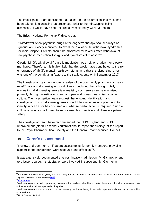The investigation team concluded that based on the assumption that Mr G had been taking his olanzapine as prescribed, prior to the mirtazapine being dispensed, it would have been excreted from his body within 32 hours.

The British National Formulary<sup>48</sup> directs that:

"Withdrawal of antipsychotic drugs after long-term therapy should always be gradual and closely monitored to avoid the risk of acute withdrawal syndromes or rapid relapse. Patients should be monitored for 2 years after withdrawal of antipsychotic medication for signs and symptoms of relapse."<sup>49</sup>

Clearly, Mr G's withdrawal from this medication was neither gradual nor closely monitored. Therefore, it is highly likely that this would have contributed to the reemergence of Mr G's mental health symptoms, and that this dispensing error was one of the contributing factors to the tragic events on 8 September 2017.

The investigation team undertook a review of the community pharmacist's nearmiss<sup>50</sup> data and dispensing errors.<sup>51</sup> It was concluded that although totally eliminating all dispensing errors is unrealistic, such errors can be minimised, primarily through investigations and an open and honest near-miss reporting culture. The investigation team suggest that ongoing identification and investigation of such dispensing errors should be viewed as an opportunity to identify why an error has occurred and what remedial action is required. Such a culture of inquiry should lead to improvements in practice and ultimately patient safety.

The investigation team have recommended that NHS England and NHS Improvement (North East and Yorkshire) should report the findings of this report to the Royal Pharmaceutical Society and the General Pharmaceutical Council.

### **13 Carer's assessment**

"Review and comment on if carers assessments for family members, providing support to the perpetrator, were adequate and effective<sup>"52</sup>.

It was extensively documented that post inpatient admission, Mr G's mother and, to a lesser degree, his stepfather were involved in supporting Mr G's mental

<sup>&</sup>lt;sup>48</sup> British National Formulary (BNF) is a United Kingdom pharmaceutical reference book that contains information and advice on prescribing and pharmacology **[BNF](https://bnf.nice.org.uk/)** 

<sup>49</sup> [Olanzapine](https://www.medicinescomplete.com/#/content/bnf/_731037844?hspl=Olanzapine)

<sup>50</sup> A dispensing near miss in a pharmacy is an error that has been identified as part of the normal checking process and prior to the medication being dispensed to the patient.

 $51$  A dispensing error is an error that involves the wrong medication being dispensed to a patient and therefore has the ability to cause harm.

<sup>52</sup> NHS England ToRp2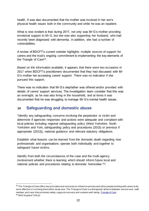health. It was also documented that his mother was involved in her son's physical health issues both in the community and while he was an inpatient.

What is now evident is that during 2017, not only was Mr G's mother providing emotional support to Mr G, but she was also supporting her husband*,* who had recently been diagnosed with dementia. In addition, she had a number of vulnerabilities.

A review of BDCFT's current website highlights multiple sources of support for carers and the trust's ongoing commitment to implementing the key elements of the Triangle of Care<sup>53</sup>.

Based on the information available, it appears that there were two occasions in 2017 when BDCFT's practitioners documented that they had discussed with Mr G's mother her accessing carers' support. There was no indication if she pursued this support.

There was no indication that Mr G's stepfather was offered and/or provided with details of carers' support services. The investigation team consider that this was an oversight, as he was also living in the household, and at times it was documented that he was struggling to manage Mr G's mental health issues.

# **14 Safeguarding and domestic abuse**

"Identify any safeguarding concerns involving the perpetrator or victim and determine if agencies responses and actions were adequate and compliant with local policies including regional safeguarding policy (West Yorkshire, North Yorkshire and York, safeguarding policy and procedures (2015) or previous if appropriate (2013)), national guidance and relevant statutory obligations.

Establish what lessons can be learned from the domestic death regarding how professionals and organisations operate both individually and together to safeguard future victims.

Identify from both the circumstances of the case and the multi-agency involvement whether there is learning which should inform future local and national policies and procedures relating to domestic homicides."<sup>54</sup>

<sup>&</sup>lt;sup>53</sup> The Triangle of Care offers key principles and resources to influence services and other people working with carers to be more effective in involving them within acute care. The Triangle of Care is a therapeutic alliance between service user, staff member and carer that promotes safety, supports recovery and sustains well-being[. Triangle of Care](https://www.nhsconfed.org/~/media/Confederation/Files/public%20access/CareTriangle.pdf) <sup>54</sup> NHS England ToR p2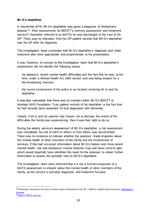#### **Mr G's stepfather**

In December 2016, Mr G's stepfather was given a diagnosis of Alzheimer's disease*.* <sup>55</sup> After assessments by BDCFT's memory assessment and treatment service<sup>56</sup> (hereafter referred to as MATS) he was discharged to the care of his GP. There was no indication from his GP patient records that Mr G's stepfather saw his GP after his diagnosis.

The investigation team concluded that Mr G's stepfather's diagnosis and initial treatment plan were appropriate and proportionate to his presentation.

It was, however, of concern to the investigation team that Mr G's stepfather's assessment did not identify the following issues:

- his stepson's recent mental health difficulties and the fact that he was, at the time, under a Mental Health Act 1983 section and was being treated for a life-threatening infection
- the recent involvement of the police in an incident involving Mr G and his stepfather.

It was also noticeable that there was no mention within Mr G's BDCFT or Airedale NHS Foundation Trust patient records of his stepfather or the fact that he had recently been assessed for and diagnosed with dementia.

Clearly, if Mr G and his parents had chosen not to disclose the extent of the difficulties the family was experiencing, then it was their right to do so.

During the elderly service's assessment of Mr G's stepfather, a risk assessment was completed. No risk of harm to others or from others was documented. There was no evidence to indicate whether the assessor made enquiries about the mental health of other members of the family and the involvement of services. If this had occurred, information about Mr G's historic and more recent mental health, risk and substance misuse histories may well have come to light, which would hopefully have identified the need for the assessor to obtain further information to assess the possible risks to Mr G's stepfather.

The investigation team were informed that it is not a formal component of a MATS assessment to enquire about the mental health of other members of the family, as the service is primarily diagnostic and treatment focused.

<sup>&</sup>lt;sup>55</sup> Alzheimer's disease is the most common type of dementia in the UK. It affects multiple brain functions. Alzheimer's [disease](https://www.nhs.uk/conditions/alzheimers-disease/)

<sup>56</sup> [BDCFT MATS service](http://www.yhscn.nhs.uk/media/PDFs/mhdn/Dementia/Meetings/Memory%2001112016/Chris%20North%20Bradford%20MATS%20Memory%20Services%20Network%20presentation.pdf)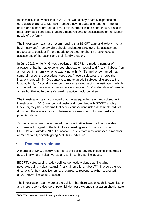In hindsight, it is evident that in 2017 this was clearly a family experiencing considerable distress, with two members having acute and long-term mental health and behavioural difficulties. If this information had been known, it should have prompted both a multi-agency response and an assessment of the support needs of the family.

The investigation team are recommending that BDCFT adult and elderly mental health services' memory clinic should undertake a review of its assessment processes to consider if there needs to be a comprehensive psychosocial assessment of the patient and their family situation.

In June 2015, while Mr G was a patient of BDCFT, he made a number of allegations that he had experienced physical, emotional and financial abuse from a member if his family who he was living with. Mr G's mother confirmed that some of her son's accusations were true. These disclosures prompted the inpatient unit, with Mr G's consent, to make an adult safeguarding alert to the local authority. A social worker commenced a safeguarding investigation, which concluded that there was some evidence to support Mr G's allegation of financial abuse but that no further safeguarding action would be taken.

The investigation team concluded that the safeguarding alert and subsequent investigation in 2015 was proportionate and compliant with BDCFT's policy. However, they had concerns that Mr G's subsequent risk assessments did not document the allegations or undertake any assessment of current risks of potential abuse.

As has already been documented, the investigation team had considerable concerns with regard to the lack of safeguarding reporting/action by both BDCFT's and Airedale NHS Foundation Trust's staff, who witnessed a member of Mr G's family covertly giving Mr G his medication.

### **15 Domestic violence**

A member of Mr G's family reported to the police several incidents of domestic abuse involving physical, verbal and at times threatening abuse.

BDCFT's safeguarding policy defines domestic violence as "including psychological, physical, sexual, financial, emotional abuse"57. The policy gives directions for how practitioners are required to respond to either suspected and/or known incidents of abuse.

The investigation team were of the opinion that there was enough known historic and more recent evidence of potential domestic violence that action should have

<sup>57</sup> BDCFT's Safeguarding Adults Policy and Procedure (2016) p14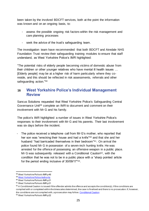been taken by the involved BDCFT services, both at the point the information was known and on an ongoing basis, to:

- assess the possible ongoing risk factors within the risk management and care planning processes
- seek the advice of the trust's safeguarding team.

The investigation team have recommended that both BDCFT and Airedale NHS Foundation Trust review their safeguarding training modules to ensure that staff understand, as West Yorkshire Police's IMR highlighted:

"The potential risks of elderly people becoming victims of domestic abuse from their children or other younger relatives who have mental ill health issues … [Elderly people] may be at a higher risk of harm particularly where they coreside, and this should be reflected in risk assessments, referrals and other safeguarding action."<sup>58</sup>

### **16 West Yorkshire Police's Individual Management Review**

Sancus Solutions requested that West Yorkshire Police's Safeguarding Central Governance Unit<sup>59</sup> complete an IMR to document and comment on their involvement with Mr G and his family.

The police's IMR highlighted a number of issues in West Yorkshire Police's responses to their involvement with Mr G and his parents. Their last involvement was six days before the incident.

- The police received a telephone call from Mr G's mother, who reported that her son was "wrecking their house and had a knife"<sup>60</sup> and that she and her husband "had barricaded themselves in their bedroom"61. On arrival the police found Mr G in possession of a seven-inch hunting knife. He was arrested for the offence of possessing an offensive weapon in a public place. Mr G was subsequently released with a Conditional Caution<sup>62</sup>, with the condition that he was not to be in a public place with a "sharp pointed article for the period ending inclusive of 30/09/17"63.

<sup>58</sup> West Yorkshire Police's IMR p46

<sup>59</sup> [West Yorkshire Police Authority](https://www.westyorkshire.police.uk/)

<sup>60</sup> West Yorkshire Police's IMR p21

<sup>61</sup> West Yorkshire Police's IMR p21

 $62$  A Conditional Caution is issued if the offender admits the offence and accepts the condition(s). If the conditions are complied with or completed within the timescales determined, the case is finalised and there is no prosecution. If, however, the conditions are not complied with, a prosecution may follow[. Conditional Caution](https://www.cps.gov.uk/legal-guidance/conditional-cautioning-adults-dpp-guidance)

<sup>&</sup>lt;sup>63</sup> West Yorkshire Police's IMR p22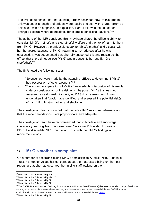The IMR documented that the attending officer described how "at this time the unit was under strength and officers were required to deal with a large volume of detainees with an emphasis on expedition. Part of this was the use of noncharge disposals where appropriate, for example conditional cautions."<sup>64</sup>

The authors of the IMR concluded this "may have diluted the officer's ability to consider [Mr G's mother's and stepfather's] welfare and the risk of harm to them from [Mr G]. However, the officer did speak to [Mr G's mother] and discuss with her the appropriateness of [Mr G] returning to her address after he was cautioned. It was documented that she fully supported this and reassured the officer that she did not believe [Mr G] was a danger to her and [Mr G's stepfather]."<sup>65</sup>

The IMR noted the following issues.

- "No enquiries were made by the attending officers to determine if [Mr G] had possession of other weapons."<sup>66</sup>
- "There was no exploration of Mr G's "antecedents, discussion of his mental state or consideration of the risk which he posed."<sup>67</sup> As this was not assessed as a domestic incident, no DASH risk assessment<sup>68</sup> was undertaken that "would have identified and assessed the potential risk(s) of harm"<sup>69</sup> to Mr G's mother and stepfather.

The investigation team concluded that the police IMR was comprehensive and that the recommendations were proportionate and adequate.

The investigation team have recommended that to facilitate and encourage interagency learning from this case, West Yorkshire Police should provide BDCFT and Airedale NHS Foundation Trust with their IMR's findings and recommendations.

### **17 Mr G's mother's complaint**

On a number of occasions during Mr G's admission to Airedale NHS Foundation Trust, his mother voiced her concerns about the mattresses being on the floor, reporting that she had observed the nursing staff walking on them.

<sup>64</sup> West Yorkshire Police's IMR pp26-27

<sup>65</sup> West Yorkshire Police's IMR pp26-27

<sup>66</sup> West Yorkshire Police's IMR p21

<sup>&</sup>lt;sup>67</sup> West Yorkshire Police's IMR p21

 $68$  The DASH [Domestic Abuse, Stalking & Harassment, & Honour Based Violence] risk assessment is for all professionals working with victims of domestic abuse, stalking and harassment, and honour-based violence. DASH includes a risk checklist for victims of domestic abuse, stalking and honour-based violenc[e. DASH](https://www.dashriskchecklist.co.uk/wp-content/uploads/2016/09/DASH-2009.pdf)

<sup>69</sup> West Yorkshire Police's IMR p21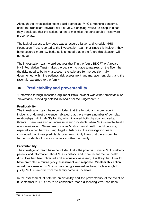Although the investigation team could appreciate Mr G's mother's concerns, given the significant physical risks of Mr G's ongoing refusal to sleep in a bed, they concluded that the actions taken to minimise the considerable risks were proportionate.

The lack of access to low beds was a resource issue, and Airedale NHS Foundation Trust reported to the investigation team that since this incident, they have secured more low beds, so it is hoped that in the future this situation will not occur.

The investigation team would suggest that if in the future BDCFT or Airedale NHS Foundation Trust makes the decision to place a mattress on the floor, then the risks need to be fully assessed, the rationale for the decision fully documented within the patient's risk assessment and management plan, and the rationale explained to the family.

# **18 Predictability and preventability**

"Determine through reasoned argument if this incident was either predictable or preventable, providing detailed rationale for the judgement."<sup>70</sup>

### **Predictability**

The investigation team have concluded that the historic and more recent incidents of domestic violence indicated that there were a number of complex relationships within Mr G's family, which involved both physical and verbal threats. There was also an increase in such incidents when Mr G's mental health was deteriorating. Given how unstable Mr G's mental health could become, especially when he was using illegal substances, the investigation team concluded that it was predictable or at least highly likely that there would be further incidents of domestic violence within this family.

#### **Preventability**

The investigation team have concluded that if the potential risks to Mr G's elderly parents and information about Mr G's historic and more recent mental health difficulties had been obtained and adequately assessed, it is likely that it would have prompted a multi-agency assessment and response. Whether this action would have resulted in Mr G's risks being assessed as being high enough to justify Mr G's removal from the family home is uncertain.

In the assessment of both the predictability and the preventability of the event on 8 September 2017, it has to be considered that a dispensing error had been

<sup>70</sup> NHS England ToR p2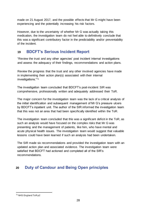made on 21 August 2017, and the possible effects that Mr G might have been experiencing and the potentially increasing his risk factors.

However, due to the uncertainty of whether Mr G was actually taking this medication, the investigation team do not feel able to definitively conclude that this was a significant contributory factor in the predictability and/or preventability of the incident.

# **19 BDCFT's Serious Incident Report**

"Review the trust and any other agencies' post incident internal investigations and assess the adequacy of their findings, recommendations and action plans.

Review the progress that the trust and any other involved agencies have made in implementing their action plan(s) associated with their internal investigations."<sup>71</sup>

The investigation team concluded that BDCFT's post-incident SIR was comprehensive, professionally written and adequately addressed their ToR.

The major concern for the investigation team was the lack of a critical analysis of the initial identification and subsequent management of Mr G's pressure ulcers by BDCFT's inpatient unit. The author of the SIR informed the investigation team that this was not an area that had been specifically identified within the ToR.

The investigation team concluded that this was a significant deficit in the ToR, as such an analysis would have focused on the complex risks that Mr G was presenting and the management of patients, like him, who have mental and acute physical health issues. The investigation team would suggest that valuable lessons could have been learned if such an analysis had been undertaken.

The SIR made six recommendations and provided the investigation team with an updated action plan and associated evidence. The investigation team were satisfied that BDCFT had actioned and completed all of the SIR's recommendations.

# **20 Duty of Candour and Being Open principles**

<sup>71</sup> NHS England ToR p2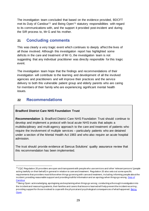The investigation team concluded that based on the evidence provided, BDCFT met its Duty of Candour<sup>72</sup> and Being Open<sup>73</sup> statutory responsibilities with regard to its communications with, and the support it provided post-incident and during the SIR process to, Mr G and his mother.

### **21 Concluding comments**

This was clearly a very tragic event which continues to deeply affect the lives of all those involved. Although this investigation report has highlighted some deficits in the care and treatment of Mr G, the investigation team is not suggesting that any individual practitioner was directly responsible for this tragic event.

The investigation team hope that the findings and recommendations of their investigation will contribute to the learning and development of all the involved agencies and practitioners and will improve their practices and the service delivery to both this vulnerable patient group and elderly parents who are caring for members of their family who are experiencing significant mental health issues.

# **22 Recommendations**

### **Bradford District Care NHS Foundation Trust**

**Recommendation 1:** Bradford District Care NHS Foundation Trust should continue to develop and implement a protocol with local acute NHS trusts that adopts a multidisciplinary and multi-agency approach to the care and treatment of patients who require the involvement of multiple services – particularly patients who are detained under a section of the Mental Health Act 1983 and who also require an acute hospital admission.

The trust should provide evidence at Sancus Solutions' quality assurance review that this recommendation has been implemented.

<sup>&</sup>lt;sup>72</sup> CQC Regulation 20 providers are open and transparent with people who use services and other 'relevant persons' (people acting lawfully on their behalf) in general in relation to care and treatment. Regulation 20 also sets out some specific requirements that providers must follow when things go wrong with care and treatment, including informing people about the incident, providing reasonable support and providing truthful information and an apology when things go wrong. Duty of **[Candour](http://www.cqc.org.uk/guidance-providers/regulations-enforcement/regulation-20-duty-candour)** 

<sup>73</sup> Being Open: acknowledging, apologising and explaining when things go wrong; conducting a thorough investigation into the incident and reassuring patients, their families and carers that lessons learned will help prevent the incident recurring; providing support for those involved to cope with the physical and psychological consequences of what happened. Being **[Open](https://www.hsj.co.uk/download?ac=1293677)**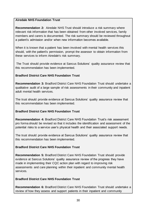### **Airedale NHS Foundation Trust**

**Recommendation 2:** Airedale NHS Trust should introduce a risk summary where relevant risk information that has been obtained from other involved services, family members and carers is documented. The risk summary should be reviewed throughout a patient's admission and/or when new information becomes available.

When it is known that a patient has been involved with mental health services this should, with the patient's permission, prompt the assessor to obtain information from these services to inform Airedale's risk summary.

The Trust should provide evidence at Sancus Solutions' quality assurance review that this recommendation has been implemented.

#### **Bradford District Care NHS Foundation Trust**

**Recommendation 3:** Bradford District Care NHS Foundation Trust should undertake a qualitative audit of a large sample of risk assessments in their community and inpatient adult mental health services.

The trust should provide evidence at Sancus Solutions' quality assurance review that this recommendation has been implemented.

### **Bradford District Care NHS Foundation Trust**

**Recommendation 4:** Bradford District Care NHS Foundation Trust's risk assessment pro forma should be revised so that it includes the identification and assessment of the potential risks to a service user's physical health and their associated support needs.

The trust should provide evidence at Sancus Solutions' quality assurance review that this recommendation has been implemented.

### **Bradford District Care NHS Foundation Trust**

**Recommendation 5:** Bradford District Care NHS Foundation Trust should provide evidence at Sancus Solutions' quality assurance review of the progress they have made in implementing their CQC action plan with regard to improving risk assessments and care planning within their inpatient and community mental health services.

### **Bradford District Care NHS Foundation Trust**

**Recommendation 6:** Bradford District Care NHS Foundation Trust should undertake a review of how they assess and support patients in their inpatient and community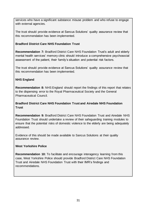services who have a significant substance misuse problem and who refuse to engage with external agencies.

The trust should provide evidence at Sancus Solutions' quality assurance review that this recommendation has been implemented.

#### **Bradford District Care NHS Foundation Trust**

**Recommendation 7:** Bradford District Care NHS Foundation Trust's adult and elderly mental health services' memory clinic should introduce a comprehensive psychosocial assessment of the patient, their family's situation and potential risk factors.

The trust should provide evidence at Sancus Solutions' quality assurance review that this recommendation has been implemented.

#### **NHS England**

**Recommendation 8:** NHS England should report the findings of this report that relates to the dispensing error to the Royal Pharmaceutical Society and the General Pharmaceutical Council.

#### **Bradford District Care NHS Foundation Trust and Airedale NHS Foundation Trust**

**Recommendation 9:** Bradford District Care NHS Foundation Trust and Airedale NHS Foundation Trust should undertake a review of their safeguarding training modules to ensure that the potential risks of domestic violence to the elderly are being adequately addressed.

Evidence of this should be made available to Sancus Solutions at their quality assurance review.

#### **West Yorkshire Police**

**Recommendation 10:** To facilitate and encourage interagency learning from this case, West Yorkshire Police should provide Bradford District Care NHS Foundation Trust and Airedale NHS Foundation Trust with their IMR's findings and recommendations.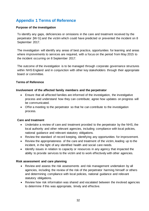# **Appendix 1 Terms of Reference**

#### **Purpose of the investigation**

To identify any gaps, deficiencies or omissions in the care and treatment received by the perpetrator [Mr G] and the victim which could have predicted or prevented the incident on 8 September 2017.

The investigation will identify any areas of best practice, opportunities for learning and areas where improvements to services are required, with a focus on the period from May 2015 to the incident occurring on 8 September 2017.

The outcome of the investigation is to be managed through corporate governance structures within NHS England and in conjunction with other key stakeholders through their appropriate board or committee.

#### **Terms of Reference**

#### **Involvement of the affected family members and the perpetrator**

- Ensure that all affected families are informed of the investigation, the investigative process and understand how they can contribute; agree how updates on progress will be communicated.
- Offer a meeting to the perpetrator so that he can contribute to the investigation process.

#### **Care and treatment**

- Undertake a review of care and treatment provided to the perpetrator by the NHS, the local authority and other relevant agencies, including compliance with local policies, national guidance and relevant statutory obligations.
- Review the standard of record keeping, identifying any opportunities for improvement.
- Review the appropriateness of the care and treatment of the victim, leading up to the incident, in the light of any identified health and social care needs.
- Identify issues in relation to capacity or resources in any agency that impacted the ability to provide services to the victim and to work effectively with other agencies.

#### **Risk assessment and care planning**

- Review and assess the risk assessments and risk management undertaken by all agencies, including the review of the risk of the perpetrator harming himself or others and determining compliance with local policies, national guidance and relevant statutory obligations.
- Review how risk information was shared and escalated between the involved agencies to determine if this was appropriate, timely and effective.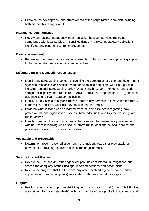• Examine the development and effectiveness of the perpetrator's care plan including both his and his family's input.

#### **Interagency communication**

• Review and assess interagency communication between services regarding compliance with local policies, national guidance and relevant statutory obligations identifying any opportunities for improvement.

#### **Carer's assessment**

• Review and comment on if carers assessments for family members, providing support to the perpetrator, were adequate and effective.

#### **Safeguarding and Domestic Abuse Issues**

- Identify any safeguarding concerns involving the perpetrator or victim and determine if agencies' responses and actions were adequate and compliant with local policies including regional safeguarding policy (West Yorkshire, North Yorkshire and York, safeguarding policy and procedures (2015) or previous if appropriate (2013)), national guidance and relevant statutory obligations.
- Identify if the victim's family and friends knew of any domestic abuse within the family composition and if so, what did they do with that information.
- Establish what lessons can be learned from the domestic death regarding how professionals and organisations operate both individually and together to safeguard future victims.
- Identify from both the circumstances of the case and the multi-agency involvement whether there is learning which should inform future local and national policies and procedures relating to domestic homicides.

#### **Predictable and preventable**

• Determine through reasoned argument if this incident was either predictable or preventable, providing detailed rationale for the judgement.

#### **Serious Incident Review**

- Review the trust and any other agencies' post incident internal investigations and assess the adequacy of their findings, recommendations and action plans.
- Review the progress that the trust and any other involved agencies have made in implementing their action plan(s) associated with their internal investigations.

#### **Outputs**

• Provide a final written report to NHS England that is easy to read (meets NHS England accessible information standards) within six months of receipt of all clinical and social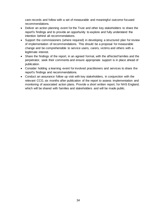care records and follow with a set of measurable and meaningful outcome focused recommendations.

- Deliver an action planning event for the Trust and other key stakeholders to share the report's findings and to provide an opportunity to explore and fully understand the intention behind all recommendations.
- Support the commissioners (where required) in developing a structured plan for review of implementation of recommendations. This should be a proposal for measurable change and be comprehensible to service users, carers, victims and others with a legitimate interest.
- Share the findings of the report, in an agreed format, with the affected families and the perpetrator, seek their comments and ensure appropriate support is in place ahead of publication.
- Consider holding a learning event for involved practitioners and services to share the report's findings and recommendations.
- Conduct an assurance follow up visit with key stakeholders, in conjunction with the relevant CCG, six months after publication of the report to assess implementation and monitoring of associated action plans. Provide a short written report, for NHS England, which will be shared with families and stakeholders and will be made public.